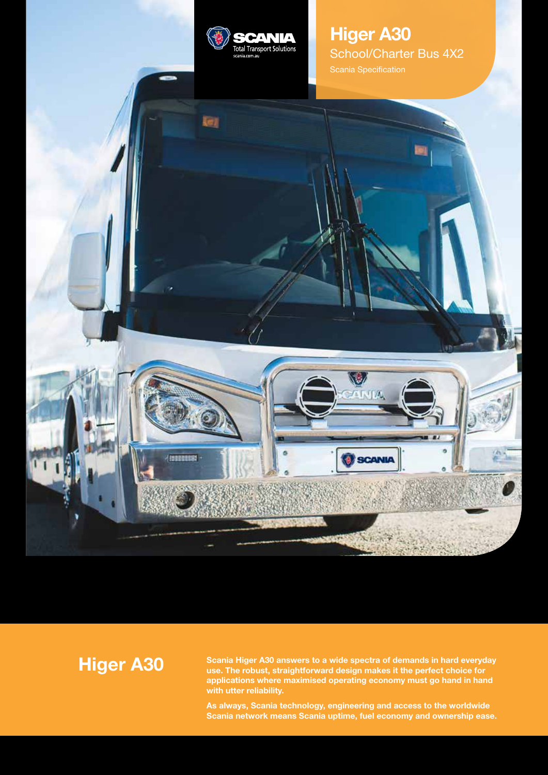

ie)

{!!!!!!!!!

## **Higer A30** School/Charter Bus 4X2 Scania Specification

**Higer A30**

**Scania Higer A30 answers to a wide spectra of demands in hard everyday use. The robust, straightforward design makes it the perfect choice for applications where maximised operating economy must go hand in hand with utter reliability.**

λÚ.

SCANIA

 $\mathbf{X}$ 

فتباد

**As always, Scania technology, engineering and access to the worldwide Scania network means Scania uptime, fuel economy and ownership ease.**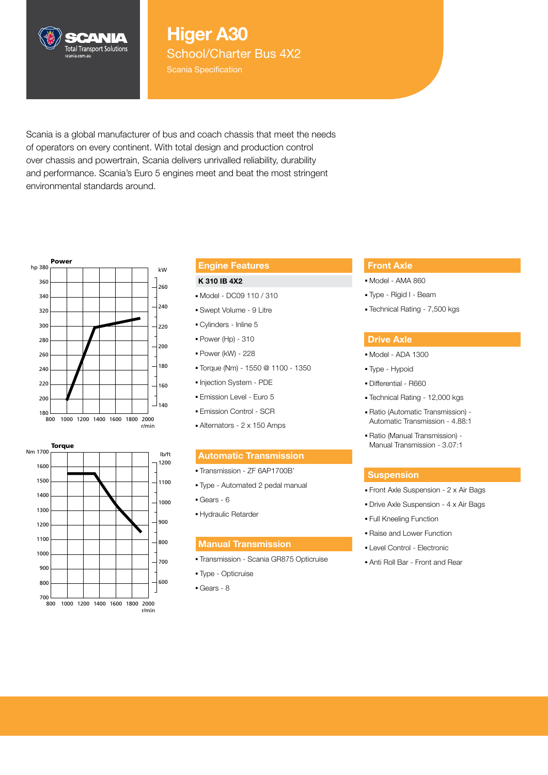# **Higer A30**

School/Charter Bus 4X2

Scania Specification

Scania is a global manufacturer of bus and coach chassis that meet the needs of operators on every continent. With total design and production control over chassis and powertrain, Scania delivers unrivalled reliability, durability and performance. Scania's Euro 5 engines meet and beat the most stringent environmental standards around.



CANIA **Total Transport Solutions** 



#### **Engine Features**

#### **K 310 IB 4X2**

- Model DC09 110 / 310
- Swept Volume 9 Litre
- Cylinders Inline 5
- Power (Hp) 310
- Power (kW) 228
- Torque (Nm) 1550 @ 1100 1350
- Injection System PDE
- Emission Level Euro 5
- Emission Control SCR
- Alternators 2 x 150 Amps

#### hp 380 **Ib/ft Automatic Transmission**

- 360 Transmission ZF 6AP1700B'
- 340 Type Automated 2 pedal manual
- Gears 6
- 300 Hydraulic Retarder

## **Manual Transmission**

- 240 Transmission Scania GR875 Opticruise 180<br>180 - Paul VII<br>180 - Paul VIII
- Type Opticruise
- Gears 8

#### **Front Axle**

- Model AMA 860
- Type Rigid I Beam
- Technical Rating 7,500 kgs

#### **Drive Axle**

- Model ADA 1300
- Type Hypoid
- Differential R660
- Technical Rating 12,000 kgs
- Ratio (Automatic Transmission) Automatic Transmission - 4.88:1
- Ratio (Manual Transmission) Manual Transmission - 3.07:1

#### **Suspension**

- Front Axle Suspension 2 x Air Bags
- Drive Axle Suspension 4 x Air Bags
- Full Kneeling Function
- Raise and Lower Function
- Level Control Electronic
- Anti Roll Bar Front and Rear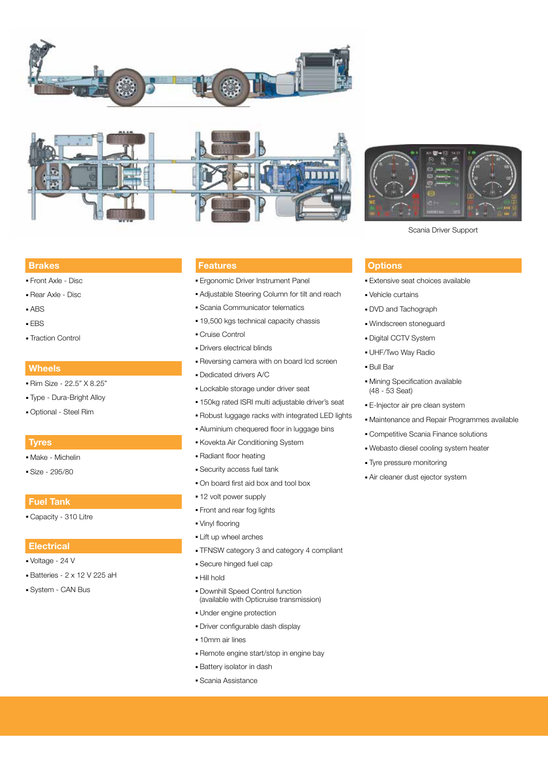



#### **Brakes**

- Front Axle Disc
- Rear Axle Disc
- ABS
- EBS
- Traction Control

#### **Wheels**

- Rim Size 22.5" X 8.25"
- Type Dura-Bright Alloy
- Optional Steel Rim

#### **Tyres**

- Make Michelin
- Size 295/80

#### **Fuel Tank**

■ Capacity - 310 Litre

#### **Electrical**

- Voltage 24 V
- Batteries 2 x 12 V 225 aH
- System CAN Bus

#### **Features**

- Ergonomic Driver Instrument Panel
- Adjustable Steering Column for tilt and reach
- Scania Communicator telematics
- 19,500 kgs technical capacity chassis
- Cruise Control
- Drivers electrical blinds
- Reversing camera with on board lcd screen
- Dedicated drivers A/C
- Lockable storage under driver seat
- 150kg rated ISRI multi adjustable driver's seat
- Robust luggage racks with integrated LED lights
- Aluminium chequered floor in luggage bins
- Kovekta Air Conditioning System
- Radiant floor heating
- Security access fuel tank
- On board first aid box and tool box
- 12 volt power supply
- Front and rear fog lights
- Vinyl flooring
- Lift up wheel arches
- TFNSW category 3 and category 4 compliant
- Secure hinged fuel cap
- Hill hold
- Downhill Speed Control function (available with Opticruise transmission)
- Under engine protection
- Driver configurable dash display
- 10mm air lines
- Remote engine start/stop in engine bay
- Battery isolator in dash
- Scania Assistance



Scania Driver Support

#### **Options**

- Extensive seat choices available
- Vehicle curtains
- DVD and Tachograph
- Windscreen stoneguard
- Digital CCTV System
- UHF/Two Way Radio
- Bull Bar
- Mining Specification available (48 - 53 Seat)
- E-Injector air pre clean system
- Maintenance and Repair Programmes available
- Competitive Scania Finance solutions ■ Webasto diesel cooling system heater
- Tyre pressure monitoring
- Air cleaner dust ejector system